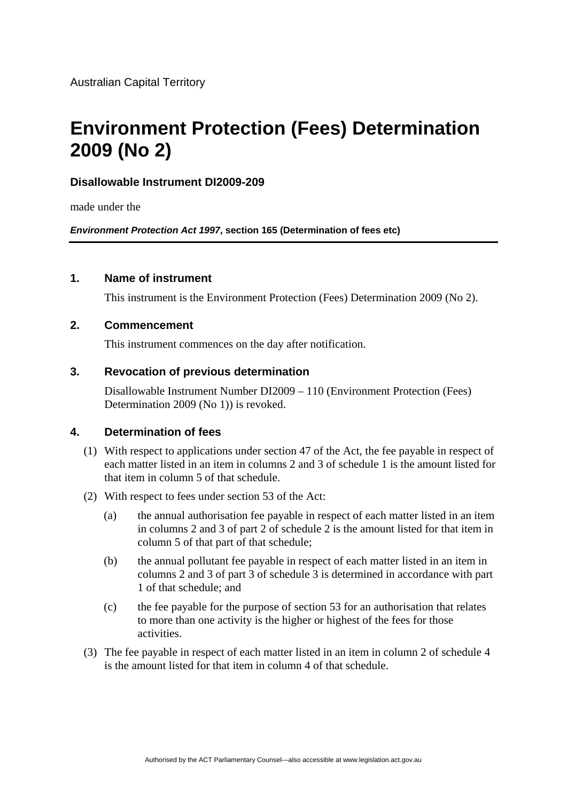# **Environment Protection (Fees) Determination 2009 (No 2)**

#### **Disallowable Instrument DI2009-209**

made under the

*Environment Protection Act 1997***, section 165 (Determination of fees etc)**

#### **1. Name of instrument**

This instrument is the Environment Protection (Fees) Determination 2009 (No 2).

#### **2. Commencement**

This instrument commences on the day after notification.

#### **3. Revocation of previous determination**

Disallowable Instrument Number DI2009 – 110 (Environment Protection (Fees) Determination 2009 (No 1)) is revoked.

#### **4. Determination of fees**

- (1) With respect to applications under section 47 of the Act, the fee payable in respect of each matter listed in an item in columns 2 and 3 of schedule 1 is the amount listed for that item in column 5 of that schedule.
- (2) With respect to fees under section 53 of the Act:
	- (a) the annual authorisation fee payable in respect of each matter listed in an item in columns 2 and 3 of part 2 of schedule 2 is the amount listed for that item in column 5 of that part of that schedule;
	- (b) the annual pollutant fee payable in respect of each matter listed in an item in columns 2 and 3 of part 3 of schedule 3 is determined in accordance with part 1 of that schedule; and
	- (c) the fee payable for the purpose of section 53 for an authorisation that relates to more than one activity is the higher or highest of the fees for those activities.
- (3) The fee payable in respect of each matter listed in an item in column 2 of schedule 4 is the amount listed for that item in column 4 of that schedule.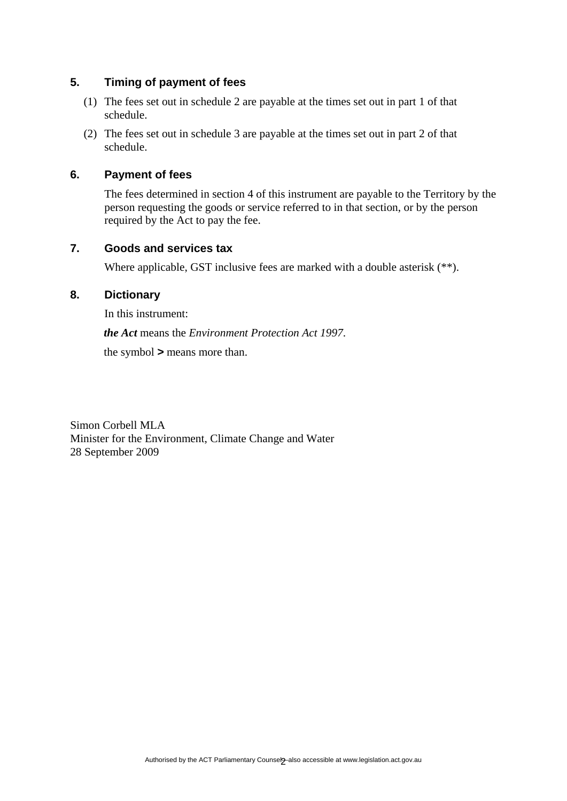#### **5. Timing of payment of fees**

- (1) The fees set out in schedule 2 are payable at the times set out in part 1 of that schedule.
- (2) The fees set out in schedule 3 are payable at the times set out in part 2 of that schedule.

#### **6. Payment of fees**

The fees determined in section 4 of this instrument are payable to the Territory by the person requesting the goods or service referred to in that section, or by the person required by the Act to pay the fee.

#### **7. Goods and services tax**

Where applicable, GST inclusive fees are marked with a double asterisk  $(*^*)$ .

#### **8. Dictionary**

In this instrument:

*the Act* means the *Environment Protection Act 1997*.

the symbol *>* means more than.

Simon Corbell MLA Minister for the Environment, Climate Change and Water 28 September 2009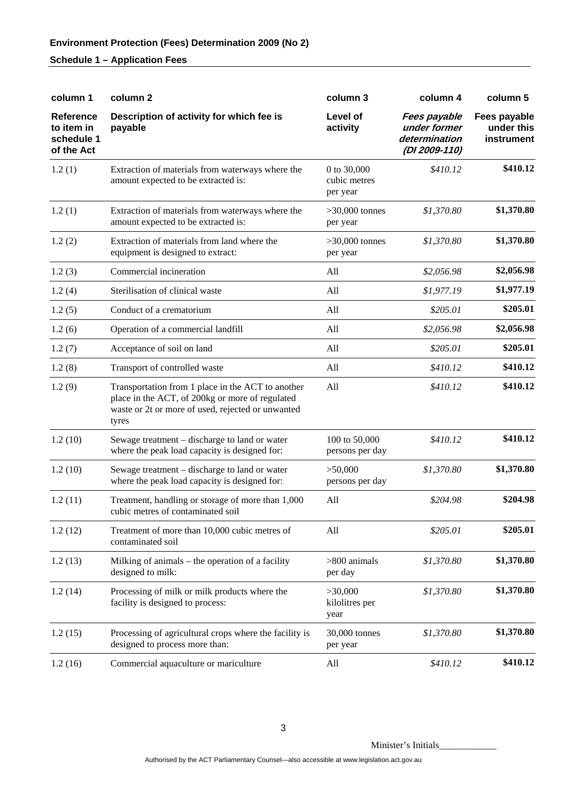| column 1                                                   | column <sub>2</sub>                                                                                                                                                | column 3                                | column 4                                                       | column 5                                 |
|------------------------------------------------------------|--------------------------------------------------------------------------------------------------------------------------------------------------------------------|-----------------------------------------|----------------------------------------------------------------|------------------------------------------|
| <b>Reference</b><br>to item in<br>schedule 1<br>of the Act | Description of activity for which fee is<br>payable                                                                                                                | Level of<br>activity                    | Fees payable<br>under former<br>determination<br>(DI 2009-110) | Fees payable<br>under this<br>instrument |
| 1.2(1)                                                     | Extraction of materials from waterways where the<br>amount expected to be extracted is:                                                                            | 0 to 30,000<br>cubic metres<br>per year | \$410.12                                                       | \$410.12                                 |
| 1.2(1)                                                     | Extraction of materials from waterways where the<br>amount expected to be extracted is:                                                                            | $>30,000$ tonnes<br>per year            | \$1,370.80                                                     | \$1,370.80                               |
| 1.2(2)                                                     | Extraction of materials from land where the<br>equipment is designed to extract:                                                                                   | $>30,000$ tonnes<br>per year            | \$1,370.80                                                     | \$1,370.80                               |
| 1.2(3)                                                     | Commercial incineration                                                                                                                                            | All                                     | \$2,056.98                                                     | \$2,056.98                               |
| 1.2(4)                                                     | Sterilisation of clinical waste                                                                                                                                    | All                                     | \$1,977.19                                                     | \$1,977.19                               |
| 1.2(5)                                                     | Conduct of a crematorium                                                                                                                                           | All                                     | \$205.01                                                       | \$205.01                                 |
| 1.2(6)                                                     | Operation of a commercial landfill                                                                                                                                 | All                                     | \$2,056.98                                                     | \$2,056.98                               |
| 1.2(7)                                                     | Acceptance of soil on land                                                                                                                                         | All                                     | \$205.01                                                       | \$205.01                                 |
| 1.2(8)                                                     | Transport of controlled waste                                                                                                                                      | All                                     | \$410.12                                                       | \$410.12                                 |
| 1.2(9)                                                     | Transportation from 1 place in the ACT to another<br>place in the ACT, of 200kg or more of regulated<br>waste or 2t or more of used, rejected or unwanted<br>tyres | All                                     | \$410.12                                                       | \$410.12                                 |
| 1.2(10)                                                    | Sewage treatment – discharge to land or water<br>where the peak load capacity is designed for:                                                                     | 100 to 50,000<br>persons per day        | \$410.12                                                       | \$410.12                                 |
| 1.2(10)                                                    | Sewage treatment – discharge to land or water<br>where the peak load capacity is designed for:                                                                     | >50,000<br>persons per day              | \$1,370.80                                                     | \$1,370.80                               |
| 1.2(11)                                                    | Treatment, handling or storage of more than 1,000<br>cubic metres of contaminated soil                                                                             | All                                     | \$204.98                                                       | \$204.98                                 |
| 1.2(12)                                                    | Treatment of more than 10,000 cubic metres of<br>contaminated soil                                                                                                 | All                                     | \$205.01                                                       | \$205.01                                 |
| 1.2(13)                                                    | Milking of animals $-$ the operation of a facility<br>designed to milk:                                                                                            | $>800$ animals<br>per day               | \$1,370.80                                                     | \$1,370.80                               |
| 1.2(14)                                                    | Processing of milk or milk products where the<br>facility is designed to process:                                                                                  | >30,000<br>kilolitres per<br>year       | \$1,370.80                                                     | \$1,370.80                               |
| 1.2(15)                                                    | Processing of agricultural crops where the facility is<br>designed to process more than:                                                                           | 30,000 tonnes<br>per year               | \$1,370.80                                                     | \$1,370.80                               |
| 1.2(16)                                                    | Commercial aquaculture or mariculture                                                                                                                              | All                                     | \$410.12                                                       | \$410.12                                 |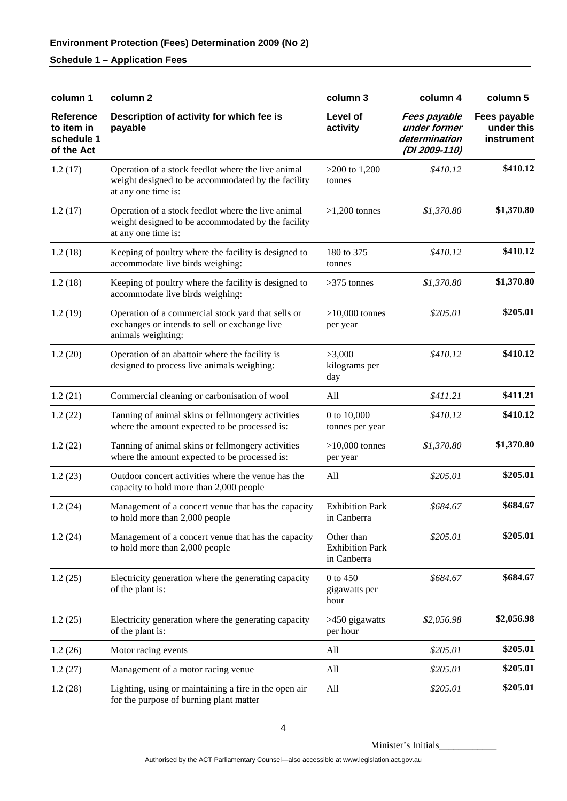| column 1                                                   | column <sub>2</sub>                                                                                                             | column 3                                            | column 4                                                       | column 5                                 |
|------------------------------------------------------------|---------------------------------------------------------------------------------------------------------------------------------|-----------------------------------------------------|----------------------------------------------------------------|------------------------------------------|
| <b>Reference</b><br>to item in<br>schedule 1<br>of the Act | Description of activity for which fee is<br>payable                                                                             | Level of<br>activity                                | Fees payable<br>under former<br>determination<br>(DI 2009-110) | Fees payable<br>under this<br>instrument |
| 1.2(17)                                                    | Operation of a stock feedlot where the live animal<br>weight designed to be accommodated by the facility<br>at any one time is: | $>200$ to 1,200<br>tonnes                           | \$410.12                                                       | \$410.12                                 |
| 1.2(17)                                                    | Operation of a stock feedlot where the live animal<br>weight designed to be accommodated by the facility<br>at any one time is: | $>1,200$ tonnes                                     | \$1,370.80                                                     | \$1,370.80                               |
| 1.2(18)                                                    | Keeping of poultry where the facility is designed to<br>accommodate live birds weighing:                                        | 180 to 375<br>tonnes                                | \$410.12                                                       | \$410.12                                 |
| 1.2(18)                                                    | Keeping of poultry where the facility is designed to<br>accommodate live birds weighing:                                        | $>375$ tonnes                                       | \$1,370.80                                                     | \$1,370.80                               |
| 1.2(19)                                                    | Operation of a commercial stock yard that sells or<br>exchanges or intends to sell or exchange live<br>animals weighting:       | $>10,000$ tonnes<br>per year                        | \$205.01                                                       | \$205.01                                 |
| 1.2(20)                                                    | Operation of an abattoir where the facility is<br>designed to process live animals weighing:                                    | >3,000<br>kilograms per<br>day                      | \$410.12                                                       | \$410.12                                 |
| 1.2(21)                                                    | Commercial cleaning or carbonisation of wool                                                                                    | All                                                 | \$411.21                                                       | \$411.21                                 |
| 1.2(22)                                                    | Tanning of animal skins or fellmongery activities<br>where the amount expected to be processed is:                              | 0 to 10,000<br>tonnes per year                      | \$410.12                                                       | \$410.12                                 |
| 1.2(22)                                                    | Tanning of animal skins or fellmongery activities<br>where the amount expected to be processed is:                              | $>10,000$ tonnes<br>per year                        | \$1,370.80                                                     | \$1,370.80                               |
| 1.2(23)                                                    | Outdoor concert activities where the venue has the<br>capacity to hold more than 2,000 people                                   | All                                                 | \$205.01                                                       | \$205.01                                 |
| 1.2(24)                                                    | Management of a concert venue that has the capacity<br>to hold more than 2,000 people                                           | <b>Exhibition Park</b><br>in Canberra               | \$684.67                                                       | \$684.67                                 |
| 1.2(24)                                                    | Management of a concert venue that has the capacity<br>to hold more than 2,000 people                                           | Other than<br><b>Exhibition Park</b><br>in Canberra | \$205.01                                                       | \$205.01                                 |
| 1.2(25)                                                    | Electricity generation where the generating capacity<br>of the plant is:                                                        | 0 to 450<br>gigawatts per<br>hour                   | \$684.67                                                       | \$684.67                                 |
| 1.2(25)                                                    | Electricity generation where the generating capacity<br>of the plant is:                                                        | >450 gigawatts<br>per hour                          | \$2,056.98                                                     | \$2,056.98                               |
| 1.2(26)                                                    | Motor racing events                                                                                                             | All                                                 | \$205.01                                                       | \$205.01                                 |
| 1.2(27)                                                    | Management of a motor racing venue                                                                                              | All                                                 | \$205.01                                                       | \$205.01                                 |
| 1.2(28)                                                    | Lighting, using or maintaining a fire in the open air<br>for the purpose of burning plant matter                                | All                                                 | \$205.01                                                       | \$205.01                                 |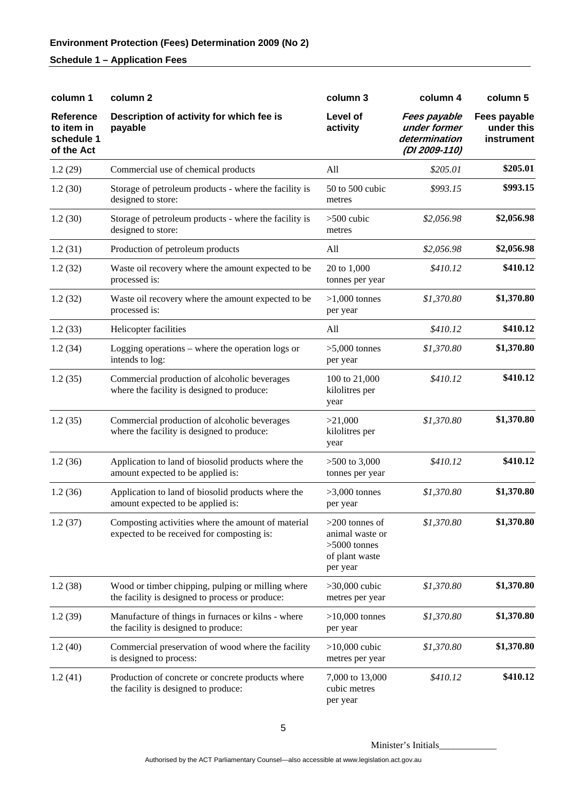| column 1                                                   | column <sub>2</sub>                                                                                  | column 3                                                                            | column 4                                                              | column 5                                 |
|------------------------------------------------------------|------------------------------------------------------------------------------------------------------|-------------------------------------------------------------------------------------|-----------------------------------------------------------------------|------------------------------------------|
| <b>Reference</b><br>to item in<br>schedule 1<br>of the Act | Description of activity for which fee is<br>payable                                                  | Level of<br>activity                                                                | <b>Fees payable</b><br>under former<br>determination<br>(DI 2009-110) | Fees payable<br>under this<br>instrument |
| 1.2(29)                                                    | Commercial use of chemical products                                                                  | All                                                                                 | \$205.01                                                              | \$205.01                                 |
| 1.2(30)                                                    | Storage of petroleum products - where the facility is<br>designed to store:                          | 50 to 500 cubic<br>metres                                                           | \$993.15                                                              | \$993.15                                 |
| 1.2(30)                                                    | Storage of petroleum products - where the facility is<br>designed to store:                          | $>500$ cubic<br>metres                                                              | \$2,056.98                                                            | \$2,056.98                               |
| 1.2(31)                                                    | Production of petroleum products                                                                     | All                                                                                 | \$2,056.98                                                            | \$2,056.98                               |
| 1.2(32)                                                    | Waste oil recovery where the amount expected to be<br>processed is:                                  | 20 to 1,000<br>tonnes per year                                                      | \$410.12                                                              | \$410.12                                 |
| 1.2(32)                                                    | Waste oil recovery where the amount expected to be<br>processed is:                                  | $>1,000$ tonnes<br>per year                                                         | \$1,370.80                                                            | \$1,370.80                               |
| 1.2(33)                                                    | Helicopter facilities                                                                                | All                                                                                 | \$410.12                                                              | \$410.12                                 |
| 1.2(34)                                                    | Logging operations – where the operation logs or<br>intends to log:                                  | $>5,000$ tonnes<br>per year                                                         | \$1,370.80                                                            | \$1,370.80                               |
| 1.2(35)                                                    | Commercial production of alcoholic beverages<br>where the facility is designed to produce:           | 100 to 21,000<br>kilolitres per<br>year                                             | \$410.12                                                              | \$410.12                                 |
| 1.2(35)                                                    | Commercial production of alcoholic beverages<br>where the facility is designed to produce:           | >21,000<br>kilolitres per<br>year                                                   | \$1,370.80                                                            | \$1,370.80                               |
| 1.2(36)                                                    | Application to land of biosolid products where the<br>amount expected to be applied is:              | $>500$ to 3,000<br>tonnes per year                                                  | \$410.12                                                              | \$410.12                                 |
| 1.2(36)                                                    | Application to land of biosolid products where the<br>amount expected to be applied is:              | $>3,000$ tonnes<br>per year                                                         | \$1,370.80                                                            | \$1,370.80                               |
| 1.2(37)                                                    | Composting activities where the amount of material<br>expected to be received for composting is:     | $>200$ tonnes of<br>animal waste or<br>$>5000$ tonnes<br>of plant waste<br>per year | \$1,370.80                                                            | \$1,370.80                               |
| 1.2(38)                                                    | Wood or timber chipping, pulping or milling where<br>the facility is designed to process or produce: | $>30,000$ cubic<br>metres per year                                                  | \$1,370.80                                                            | \$1,370.80                               |
| 1.2(39)                                                    | Manufacture of things in furnaces or kilns - where<br>the facility is designed to produce:           | $>10,000$ tonnes<br>per year                                                        | \$1,370.80                                                            | \$1,370.80                               |
| 1.2(40)                                                    | Commercial preservation of wood where the facility<br>is designed to process:                        | $>10,000$ cubic<br>metres per year                                                  | \$1,370.80                                                            | \$1,370.80                               |
| 1.2(41)                                                    | Production of concrete or concrete products where<br>the facility is designed to produce:            | 7,000 to 13,000<br>cubic metres<br>per year                                         | \$410.12                                                              | \$410.12                                 |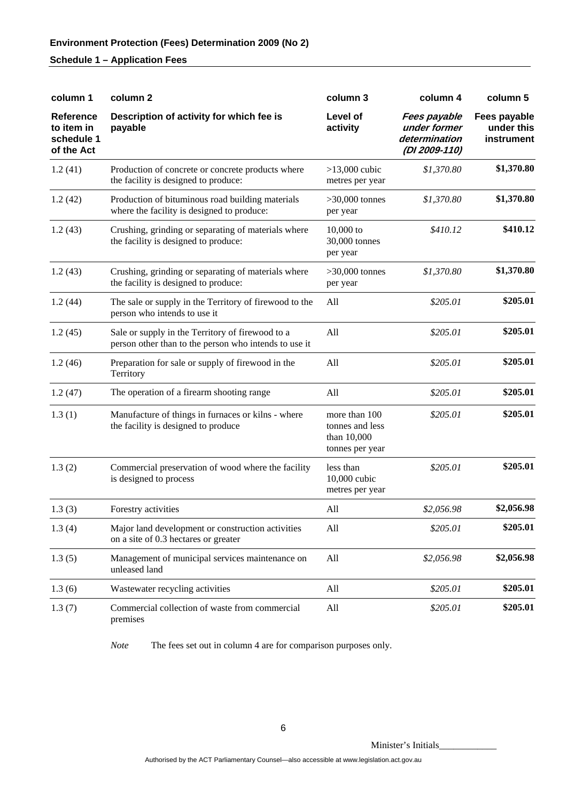| column 1                                                   | column 2                                                                                                  | column 3                                                           | column 4                                                       | column 5                                 |
|------------------------------------------------------------|-----------------------------------------------------------------------------------------------------------|--------------------------------------------------------------------|----------------------------------------------------------------|------------------------------------------|
| <b>Reference</b><br>to item in<br>schedule 1<br>of the Act | Description of activity for which fee is<br>payable                                                       | Level of<br>activity                                               | Fees payable<br>under former<br>determination<br>(DI 2009-110) | Fees payable<br>under this<br>instrument |
| 1.2(41)                                                    | Production of concrete or concrete products where<br>the facility is designed to produce:                 | $>13,000$ cubic<br>metres per year                                 | \$1,370.80                                                     | \$1,370.80                               |
| 1.2(42)                                                    | Production of bituminous road building materials<br>where the facility is designed to produce:            | $>30,000$ tonnes<br>per year                                       | \$1,370.80                                                     | \$1,370.80                               |
| 1.2(43)                                                    | Crushing, grinding or separating of materials where<br>the facility is designed to produce:               | $10,000$ to<br>30,000 tonnes<br>per year                           | \$410.12                                                       | \$410.12                                 |
| 1.2(43)                                                    | Crushing, grinding or separating of materials where<br>the facility is designed to produce:               | $>30,000$ tonnes<br>per year                                       | \$1,370.80                                                     | \$1,370.80                               |
| 1.2(44)                                                    | The sale or supply in the Territory of firewood to the<br>person who intends to use it                    | All                                                                | \$205.01                                                       | \$205.01                                 |
| 1.2(45)                                                    | Sale or supply in the Territory of firewood to a<br>person other than to the person who intends to use it | All                                                                | \$205.01                                                       | \$205.01                                 |
| 1.2(46)                                                    | Preparation for sale or supply of firewood in the<br>Territory                                            | All                                                                | \$205.01                                                       | \$205.01                                 |
| 1.2(47)                                                    | The operation of a firearm shooting range                                                                 | All                                                                | \$205.01                                                       | \$205.01                                 |
| 1.3(1)                                                     | Manufacture of things in furnaces or kilns - where<br>the facility is designed to produce                 | more than 100<br>tonnes and less<br>than 10,000<br>tonnes per year | \$205.01                                                       | \$205.01                                 |
| 1.3(2)                                                     | Commercial preservation of wood where the facility<br>is designed to process                              | less than<br>10,000 cubic<br>metres per year                       | \$205.01                                                       | \$205.01                                 |
| 1.3(3)                                                     | Forestry activities                                                                                       | All                                                                | \$2,056.98                                                     | \$2,056.98                               |
| 1.3(4)                                                     | Major land development or construction activities<br>on a site of 0.3 hectares or greater                 | All                                                                | \$205.01                                                       | \$205.01                                 |
| 1.3(5)                                                     | Management of municipal services maintenance on<br>unleased land                                          | All                                                                | \$2,056.98                                                     | \$2,056.98                               |
| 1.3(6)                                                     | Wastewater recycling activities                                                                           | All                                                                | \$205.01                                                       | \$205.01                                 |
| 1.3(7)                                                     | Commercial collection of waste from commercial<br>premises                                                | All                                                                | \$205.01                                                       | \$205.01                                 |

*Note* The fees set out in column 4 are for comparison purposes only.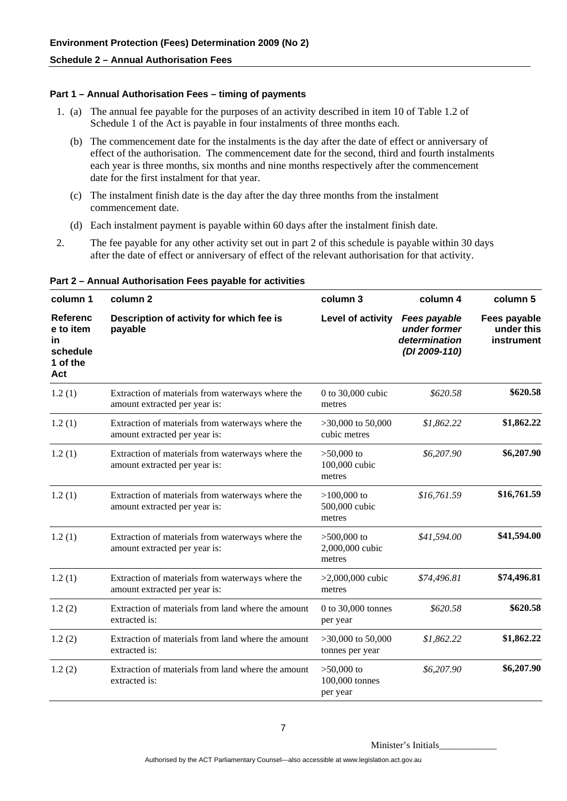#### **Part 1 – Annual Authorisation Fees – timing of payments**

- 1. (a) The annual fee payable for the purposes of an activity described in item 10 of Table 1.2 of Schedule 1 of the Act is payable in four instalments of three months each.
	- (b) The commencement date for the instalments is the day after the date of effect or anniversary of effect of the authorisation. The commencement date for the second, third and fourth instalments each year is three months, six months and nine months respectively after the commencement date for the first instalment for that year.
	- (c) The instalment finish date is the day after the day three months from the instalment commencement date.
	- (d) Each instalment payment is payable within 60 days after the instalment finish date.
- 2. The fee payable for any other activity set out in part 2 of this schedule is payable within 30 days after the date of effect or anniversary of effect of the relevant authorisation for that activity.

| column 1                                                   | column <sub>2</sub>                                                               | column 3                                   | column 4                                                       | column 5                                 |
|------------------------------------------------------------|-----------------------------------------------------------------------------------|--------------------------------------------|----------------------------------------------------------------|------------------------------------------|
| Referenc<br>e to item<br>in<br>schedule<br>1 of the<br>Act | Description of activity for which fee is<br>payable                               | Level of activity                          | Fees payable<br>under former<br>determination<br>(DI 2009-110) | Fees payable<br>under this<br>instrument |
| 1.2(1)                                                     | Extraction of materials from waterways where the<br>amount extracted per year is: | 0 to 30,000 cubic<br>metres                | \$620.58                                                       | \$620.58                                 |
| 1.2(1)                                                     | Extraction of materials from waterways where the<br>amount extracted per year is: | $>30,000$ to 50,000<br>cubic metres        | \$1,862.22                                                     | \$1,862.22                               |
| 1.2(1)                                                     | Extraction of materials from waterways where the<br>amount extracted per year is: | $>50,000$ to<br>100,000 cubic<br>metres    | \$6,207.90                                                     | \$6,207.90                               |
| 1.2(1)                                                     | Extraction of materials from waterways where the<br>amount extracted per year is: | $>100,000$ to<br>500,000 cubic<br>metres   | \$16,761.59                                                    | \$16,761.59                              |
| 1.2(1)                                                     | Extraction of materials from waterways where the<br>amount extracted per year is: | $>500,000$ to<br>2,000,000 cubic<br>metres | \$41,594.00                                                    | \$41,594.00                              |
| 1.2(1)                                                     | Extraction of materials from waterways where the<br>amount extracted per year is: | $>2,000,000$ cubic<br>metres               | \$74,496.81                                                    | \$74,496.81                              |
| 1.2(2)                                                     | Extraction of materials from land where the amount<br>extracted is:               | 0 to 30,000 tonnes<br>per year             | \$620.58                                                       | \$620.58                                 |
| 1.2(2)                                                     | Extraction of materials from land where the amount<br>extracted is:               | $>30,000$ to 50,000<br>tonnes per year     | \$1,862.22                                                     | \$1,862.22                               |
| 1.2(2)                                                     | Extraction of materials from land where the amount<br>extracted is:               | $>50,000$ to<br>100,000 tonnes<br>per year | \$6,207.90                                                     | \$6,207.90                               |

**Part 2 – Annual Authorisation Fees payable for activities**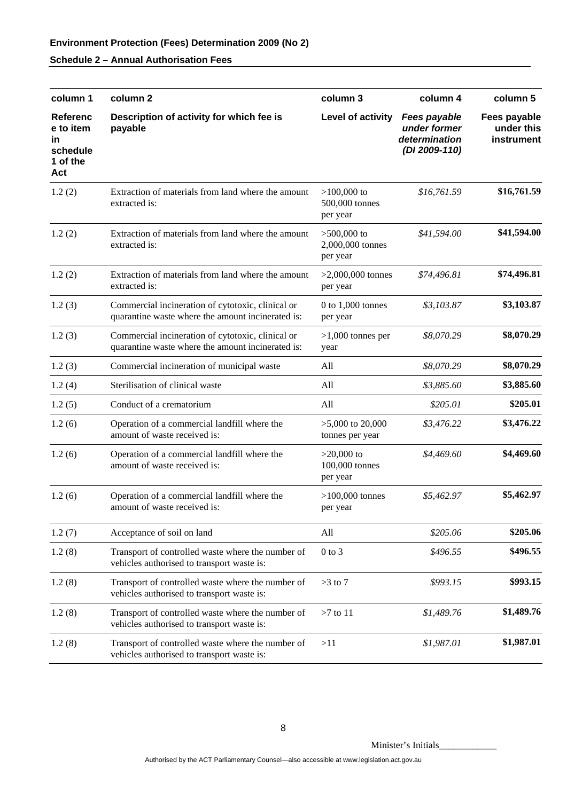| column 1                                                          | column <sub>2</sub>                                                                                    | column 3                                      | column 4                                                              | column 5                                 |
|-------------------------------------------------------------------|--------------------------------------------------------------------------------------------------------|-----------------------------------------------|-----------------------------------------------------------------------|------------------------------------------|
| <b>Referenc</b><br>e to item<br>in<br>schedule<br>1 of the<br>Act | Description of activity for which fee is<br>payable                                                    | Level of activity                             | <b>Fees payable</b><br>under former<br>determination<br>(DI 2009-110) | Fees payable<br>under this<br>instrument |
| 1.2(2)                                                            | Extraction of materials from land where the amount<br>extracted is:                                    | $>100,000$ to<br>500,000 tonnes<br>per year   | \$16,761.59                                                           | \$16,761.59                              |
| 1.2(2)                                                            | Extraction of materials from land where the amount<br>extracted is:                                    | $>500,000$ to<br>2,000,000 tonnes<br>per year | \$41,594.00                                                           | \$41,594.00                              |
| 1.2(2)                                                            | Extraction of materials from land where the amount<br>extracted is:                                    | $>2,000,000$ tonnes<br>per year               | \$74,496.81                                                           | \$74,496.81                              |
| 1.2(3)                                                            | Commercial incineration of cytotoxic, clinical or<br>quarantine waste where the amount incinerated is: | $0$ to $1,000$ tonnes<br>per year             | \$3,103.87                                                            | \$3,103.87                               |
| 1.2(3)                                                            | Commercial incineration of cytotoxic, clinical or<br>quarantine waste where the amount incinerated is: | $>1,000$ tonnes per<br>year                   | \$8,070.29                                                            | \$8,070.29                               |
| 1.2(3)                                                            | Commercial incineration of municipal waste                                                             | All                                           | \$8,070.29                                                            | \$8,070.29                               |
| 1.2(4)                                                            | Sterilisation of clinical waste                                                                        | All                                           | \$3,885.60                                                            | \$3,885.60                               |
| 1.2(5)                                                            | Conduct of a crematorium                                                                               | All                                           | \$205.01                                                              | \$205.01                                 |
| 1.2(6)                                                            | Operation of a commercial landfill where the<br>amount of waste received is:                           | $>5,000$ to 20,000<br>tonnes per year         | \$3,476.22                                                            | \$3,476.22                               |
| 1.2(6)                                                            | Operation of a commercial landfill where the<br>amount of waste received is:                           | $>20,000$ to<br>100,000 tonnes<br>per year    | \$4,469.60                                                            | \$4,469.60                               |
| 1.2(6)                                                            | Operation of a commercial landfill where the<br>amount of waste received is:                           | $>100,000$ tonnes<br>per year                 | \$5,462.97                                                            | \$5,462.97                               |
| 1.2(7)                                                            | Acceptance of soil on land                                                                             | All                                           | \$205.06                                                              | \$205.06                                 |
| 1.2(8)                                                            | Transport of controlled waste where the number of<br>vehicles authorised to transport waste is:        | $0$ to $3$                                    | \$496.55                                                              | \$496.55                                 |
| 1.2(8)                                                            | Transport of controlled waste where the number of<br>vehicles authorised to transport waste is:        | $>3$ to 7                                     | \$993.15                                                              | \$993.15                                 |
| 1.2(8)                                                            | Transport of controlled waste where the number of<br>vehicles authorised to transport waste is:        | $>7$ to 11                                    | \$1,489.76                                                            | \$1,489.76                               |
| 1.2(8)                                                            | Transport of controlled waste where the number of<br>vehicles authorised to transport waste is:        | >11                                           | \$1,987.01                                                            | \$1,987.01                               |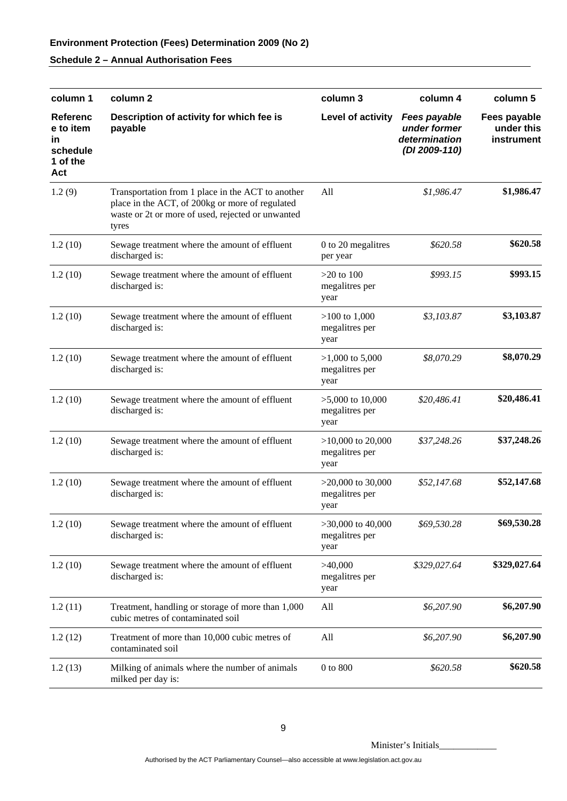# **Environment Protection (Fees) Determination 2009 (No 2)**

## **Schedule 2 – Annual Authorisation Fees**

| column 1                                                          | column 2                                                                                                                                                           | column 3                                      | column 4                                                       | column 5                                 |
|-------------------------------------------------------------------|--------------------------------------------------------------------------------------------------------------------------------------------------------------------|-----------------------------------------------|----------------------------------------------------------------|------------------------------------------|
| <b>Referenc</b><br>e to item<br>in<br>schedule<br>1 of the<br>Act | Description of activity for which fee is<br>payable                                                                                                                | Level of activity                             | Fees payable<br>under former<br>determination<br>(DI 2009-110) | Fees payable<br>under this<br>instrument |
| 1.2(9)                                                            | Transportation from 1 place in the ACT to another<br>place in the ACT, of 200kg or more of regulated<br>waste or 2t or more of used, rejected or unwanted<br>tyres | All                                           | \$1,986.47                                                     | \$1,986.47                               |
| 1.2(10)                                                           | Sewage treatment where the amount of effluent<br>discharged is:                                                                                                    | 0 to 20 megalitres<br>per year                | \$620.58                                                       | \$620.58                                 |
| 1.2(10)                                                           | Sewage treatment where the amount of effluent<br>discharged is:                                                                                                    | $>20$ to 100<br>megalitres per<br>year        | \$993.15                                                       | \$993.15                                 |
| 1.2(10)                                                           | Sewage treatment where the amount of effluent<br>discharged is:                                                                                                    | $>100$ to 1,000<br>megalitres per<br>year     | \$3,103.87                                                     | \$3,103.87                               |
| 1.2(10)                                                           | Sewage treatment where the amount of effluent<br>discharged is:                                                                                                    | $>1,000$ to 5,000<br>megalitres per<br>year   | \$8,070.29                                                     | \$8,070.29                               |
| 1.2(10)                                                           | Sewage treatment where the amount of effluent<br>discharged is:                                                                                                    | $>5,000$ to 10,000<br>megalitres per<br>year  | \$20,486.41                                                    | \$20,486.41                              |
| 1.2(10)                                                           | Sewage treatment where the amount of effluent<br>discharged is:                                                                                                    | $>10,000$ to 20,000<br>megalitres per<br>year | \$37,248.26                                                    | \$37,248.26                              |
| 1.2(10)                                                           | Sewage treatment where the amount of effluent<br>discharged is:                                                                                                    | $>20,000$ to 30,000<br>megalitres per<br>year | \$52,147.68                                                    | \$52,147.68                              |
| 1.2(10)                                                           | Sewage treatment where the amount of effluent<br>discharged is:                                                                                                    | $>30,000$ to 40,000<br>megalitres per<br>year | \$69,530.28                                                    | \$69,530.28                              |
| 1.2(10)                                                           | Sewage treatment where the amount of effluent<br>discharged is:                                                                                                    | >40,000<br>megalitres per<br>year             | \$329,027.64                                                   | \$329,027.64                             |
| 1.2(11)                                                           | Treatment, handling or storage of more than 1,000<br>cubic metres of contaminated soil                                                                             | All                                           | \$6,207.90                                                     | \$6,207.90                               |
| 1.2(12)                                                           | Treatment of more than 10,000 cubic metres of<br>contaminated soil                                                                                                 | All                                           | \$6,207.90                                                     | \$6,207.90                               |
| 1.2(13)                                                           | Milking of animals where the number of animals<br>milked per day is:                                                                                               | $0$ to $800\,$                                | \$620.58                                                       | \$620.58                                 |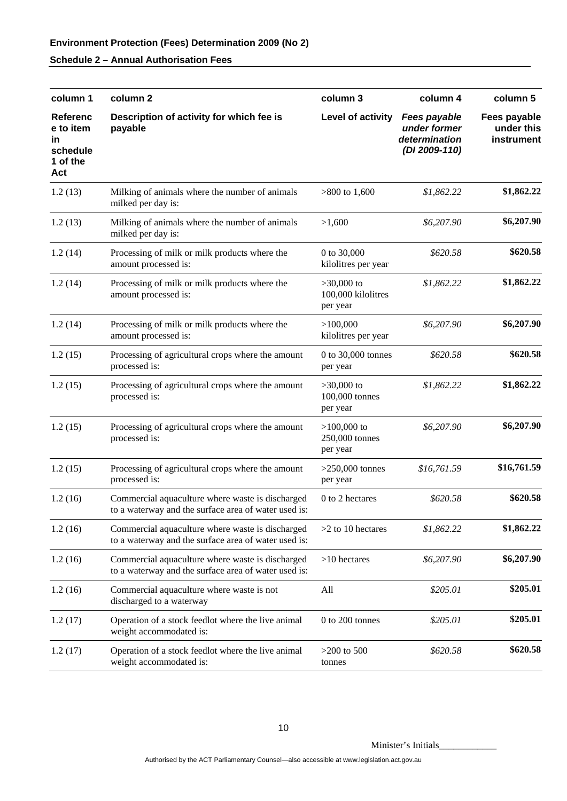| column 1                                                          | column 2                                                                                                 | column 3                                       | column 4                                                       | column 5                                 |
|-------------------------------------------------------------------|----------------------------------------------------------------------------------------------------------|------------------------------------------------|----------------------------------------------------------------|------------------------------------------|
| <b>Referenc</b><br>e to item<br>in<br>schedule<br>1 of the<br>Act | Description of activity for which fee is<br>payable                                                      | Level of activity                              | Fees payable<br>under former<br>determination<br>(DI 2009-110) | Fees payable<br>under this<br>instrument |
| 1.2(13)                                                           | Milking of animals where the number of animals<br>milked per day is:                                     | $>800$ to 1,600                                | \$1,862.22                                                     | \$1,862.22                               |
| 1.2(13)                                                           | Milking of animals where the number of animals<br>milked per day is:                                     | >1,600                                         | \$6,207.90                                                     | \$6,207.90                               |
| 1.2(14)                                                           | Processing of milk or milk products where the<br>amount processed is:                                    | 0 to 30,000<br>kilolitres per year             | \$620.58                                                       | \$620.58                                 |
| 1.2(14)                                                           | Processing of milk or milk products where the<br>amount processed is:                                    | $>30,000$ to<br>100,000 kilolitres<br>per year | \$1,862.22                                                     | \$1,862.22                               |
| 1.2(14)                                                           | Processing of milk or milk products where the<br>amount processed is:                                    | >100,000<br>kilolitres per year                | \$6,207.90                                                     | \$6,207.90                               |
| 1.2(15)                                                           | Processing of agricultural crops where the amount<br>processed is:                                       | 0 to 30,000 tonnes<br>per year                 | \$620.58                                                       | \$620.58                                 |
| 1.2(15)                                                           | Processing of agricultural crops where the amount<br>processed is:                                       | $>30,000$ to<br>100,000 tonnes<br>per year     | \$1,862.22                                                     | \$1,862.22                               |
| 1.2(15)                                                           | Processing of agricultural crops where the amount<br>processed is:                                       | $>100,000$ to<br>250,000 tonnes<br>per year    | \$6,207.90                                                     | \$6,207.90                               |
| 1.2(15)                                                           | Processing of agricultural crops where the amount<br>processed is:                                       | $>250,000$ tonnes<br>per year                  | \$16,761.59                                                    | \$16,761.59                              |
| 1.2(16)                                                           | Commercial aquaculture where waste is discharged<br>to a waterway and the surface area of water used is: | 0 to 2 hectares                                | \$620.58                                                       | \$620.58                                 |
| 1.2(16)                                                           | Commercial aquaculture where waste is discharged<br>to a waterway and the surface area of water used is: | $>2$ to 10 hectares                            | \$1,862.22                                                     | \$1,862.22                               |
| 1.2(16)                                                           | Commercial aquaculture where waste is discharged<br>to a waterway and the surface area of water used is: | $>10$ hectares                                 | \$6,207.90                                                     | \$6,207.90                               |
| 1.2(16)                                                           | Commercial aquaculture where waste is not<br>discharged to a waterway                                    | All                                            | \$205.01                                                       | \$205.01                                 |
| 1.2(17)                                                           | Operation of a stock feedlot where the live animal<br>weight accommodated is:                            | 0 to 200 tonnes                                | \$205.01                                                       | \$205.01                                 |
| 1.2(17)                                                           | Operation of a stock feedlot where the live animal<br>weight accommodated is:                            | $>200$ to 500<br>tonnes                        | \$620.58                                                       | \$620.58                                 |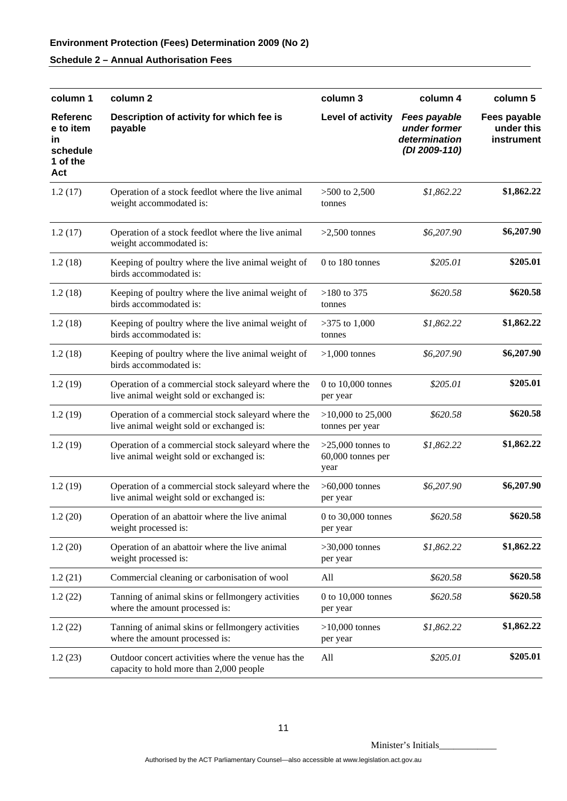| column 1                                                          | column 2                                                                                       | column 3                                         | column 4                                                              | column 5                                 |
|-------------------------------------------------------------------|------------------------------------------------------------------------------------------------|--------------------------------------------------|-----------------------------------------------------------------------|------------------------------------------|
| <b>Referenc</b><br>e to item<br>in<br>schedule<br>1 of the<br>Act | Description of activity for which fee is<br>payable                                            | Level of activity                                | <b>Fees payable</b><br>under former<br>determination<br>(DI 2009-110) | Fees payable<br>under this<br>instrument |
| 1.2(17)                                                           | Operation of a stock feedlot where the live animal<br>weight accommodated is:                  | $>500$ to 2,500<br>tonnes                        | \$1,862.22                                                            | \$1,862.22                               |
| 1.2(17)                                                           | Operation of a stock feedlot where the live animal<br>weight accommodated is:                  | $>2,500$ tonnes                                  | \$6,207.90                                                            | \$6,207.90                               |
| 1.2(18)                                                           | Keeping of poultry where the live animal weight of<br>birds accommodated is:                   | 0 to 180 tonnes                                  | \$205.01                                                              | \$205.01                                 |
| 1.2(18)                                                           | Keeping of poultry where the live animal weight of<br>birds accommodated is:                   | $>180$ to 375<br>tonnes                          | \$620.58                                                              | \$620.58                                 |
| 1.2(18)                                                           | Keeping of poultry where the live animal weight of<br>birds accommodated is:                   | $>375$ to 1,000<br>tonnes                        | \$1,862.22                                                            | \$1,862.22                               |
| 1.2(18)                                                           | Keeping of poultry where the live animal weight of<br>birds accommodated is:                   | $>1,000$ tonnes                                  | \$6,207.90                                                            | \$6,207.90                               |
| 1.2(19)                                                           | Operation of a commercial stock saleyard where the<br>live animal weight sold or exchanged is: | 0 to 10,000 tonnes<br>per year                   | \$205.01                                                              | \$205.01                                 |
| 1.2(19)                                                           | Operation of a commercial stock saleyard where the<br>live animal weight sold or exchanged is: | $>10,000$ to 25,000<br>tonnes per year           | \$620.58                                                              | \$620.58                                 |
| 1.2(19)                                                           | Operation of a commercial stock saleyard where the<br>live animal weight sold or exchanged is: | $>25,000$ tonnes to<br>60,000 tonnes per<br>year | \$1,862.22                                                            | \$1,862.22                               |
| 1.2(19)                                                           | Operation of a commercial stock saleyard where the<br>live animal weight sold or exchanged is: | $>60,000$ tonnes<br>per year                     | \$6,207.90                                                            | \$6,207.90                               |
| 1.2(20)                                                           | Operation of an abattoir where the live animal<br>weight processed is:                         | 0 to $30,000$ tonnes<br>per year                 | \$620.58                                                              | \$620.58                                 |
| 1.2(20)                                                           | Operation of an abattoir where the live animal<br>weight processed is:                         | $>30,000$ tonnes<br>per year                     | \$1,862.22                                                            | \$1,862.22                               |
| 1.2(21)                                                           | Commercial cleaning or carbonisation of wool                                                   | All                                              | \$620.58                                                              | \$620.58                                 |
| 1.2(22)                                                           | Tanning of animal skins or fellmongery activities<br>where the amount processed is:            | 0 to $10,000$ tonnes<br>per year                 | \$620.58                                                              | \$620.58                                 |
| 1.2(22)                                                           | Tanning of animal skins or fellmongery activities<br>where the amount processed is:            | $>10,000$ tonnes<br>per year                     | \$1,862.22                                                            | \$1,862.22                               |
| 1.2(23)                                                           | Outdoor concert activities where the venue has the<br>capacity to hold more than 2,000 people  | All                                              | \$205.01                                                              | \$205.01                                 |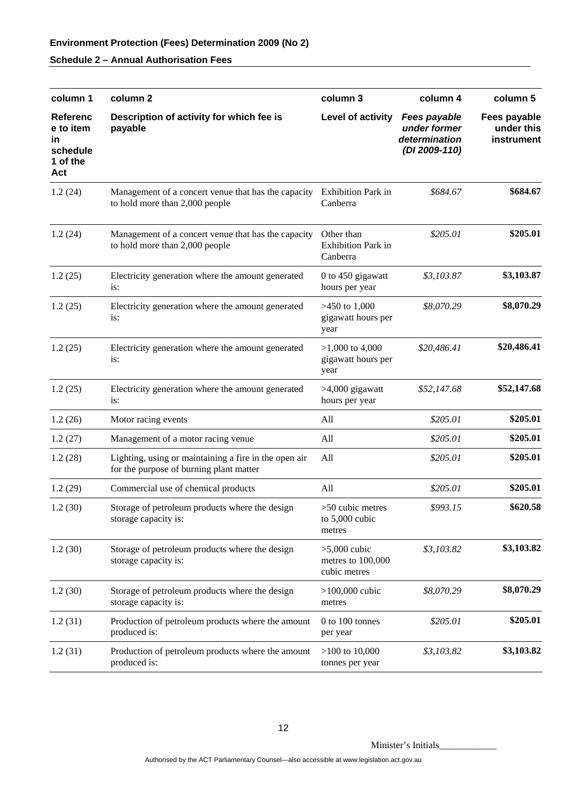| column 1                                                          | column <sub>2</sub>                                                                              | column 3                                            | column 4                                                              | column 5                                 |
|-------------------------------------------------------------------|--------------------------------------------------------------------------------------------------|-----------------------------------------------------|-----------------------------------------------------------------------|------------------------------------------|
| <b>Referenc</b><br>e to item<br>in<br>schedule<br>1 of the<br>Act | Description of activity for which fee is<br>payable                                              | Level of activity                                   | <b>Fees payable</b><br>under former<br>determination<br>(DI 2009-110) | Fees payable<br>under this<br>instrument |
| 1.2(24)                                                           | Management of a concert venue that has the capacity<br>to hold more than 2,000 people            | <b>Exhibition Park in</b><br>Canberra               | \$684.67                                                              | \$684.67                                 |
| 1.2(24)                                                           | Management of a concert venue that has the capacity<br>to hold more than 2,000 people            | Other than<br><b>Exhibition Park in</b><br>Canberra | \$205.01                                                              | \$205.01                                 |
| 1.2(25)                                                           | Electricity generation where the amount generated<br>is:                                         | 0 to 450 gigawatt<br>hours per year                 | \$3,103.87                                                            | \$3,103.87                               |
| 1.2(25)                                                           | Electricity generation where the amount generated<br>is:                                         | $>450$ to 1,000<br>gigawatt hours per<br>year       | \$8,070.29                                                            | \$8,070.29                               |
| 1.2(25)                                                           | Electricity generation where the amount generated<br>is:                                         | $>1,000$ to 4,000<br>gigawatt hours per<br>year     | \$20,486.41                                                           | \$20,486.41                              |
| 1.2(25)                                                           | Electricity generation where the amount generated<br>is:                                         | $>4,000$ gigawatt<br>hours per year                 | \$52,147.68                                                           | \$52,147.68                              |
| 1.2(26)                                                           | Motor racing events                                                                              | All                                                 | \$205.01                                                              | \$205.01                                 |
| 1.2(27)                                                           | Management of a motor racing venue                                                               | All                                                 | \$205.01                                                              | \$205.01                                 |
| 1.2(28)                                                           | Lighting, using or maintaining a fire in the open air<br>for the purpose of burning plant matter | All                                                 | \$205.01                                                              | \$205.01                                 |
| 1.2(29)                                                           | Commercial use of chemical products                                                              | All                                                 | \$205.01                                                              | \$205.01                                 |
| 1.2(30)                                                           | Storage of petroleum products where the design<br>storage capacity is:                           | $>50$ cubic metres<br>to $5,000$ cubic<br>metres    | \$993.15                                                              | \$620.58                                 |
| 1.2(30)                                                           | Storage of petroleum products where the design<br>storage capacity is:                           | $>5,000$ cubic<br>metres to 100,000<br>cubic metres | \$3,103.82                                                            | \$3,103.82                               |
| 1.2(30)                                                           | Storage of petroleum products where the design<br>storage capacity is:                           | $>100,000$ cubic<br>metres                          | \$8,070.29                                                            | \$8,070.29                               |
| 1.2(31)                                                           | Production of petroleum products where the amount<br>produced is:                                | 0 to 100 tonnes<br>per year                         | \$205.01                                                              | \$205.01                                 |
| 1.2(31)                                                           | Production of petroleum products where the amount<br>produced is:                                | $>100$ to 10,000<br>tonnes per year                 | \$3,103.82                                                            | \$3,103.82                               |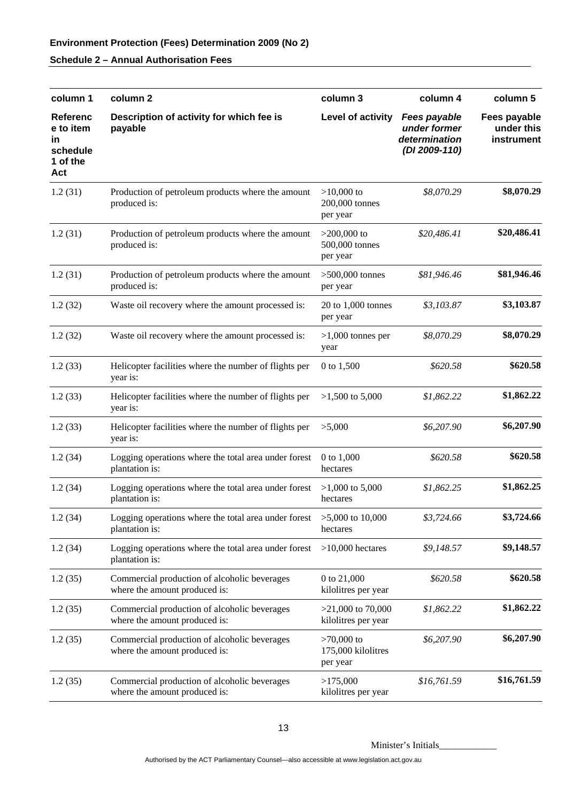| column 1                                                          | column <sub>2</sub>                                                           | column 3                                       | column 4                                                              | column 5                                 |
|-------------------------------------------------------------------|-------------------------------------------------------------------------------|------------------------------------------------|-----------------------------------------------------------------------|------------------------------------------|
| <b>Referenc</b><br>e to item<br>in<br>schedule<br>1 of the<br>Act | Description of activity for which fee is<br>payable                           | Level of activity                              | <b>Fees payable</b><br>under former<br>determination<br>(DI 2009-110) | Fees payable<br>under this<br>instrument |
| 1.2(31)                                                           | Production of petroleum products where the amount<br>produced is:             | $>10,000$ to<br>200,000 tonnes<br>per year     | \$8,070.29                                                            | \$8,070.29                               |
| 1.2(31)                                                           | Production of petroleum products where the amount<br>produced is:             | $>200,000$ to<br>500,000 tonnes<br>per year    | \$20,486.41                                                           | \$20,486.41                              |
| 1.2(31)                                                           | Production of petroleum products where the amount<br>produced is:             | $>500,000$ tonnes<br>per year                  | \$81,946.46                                                           | \$81,946.46                              |
| 1.2(32)                                                           | Waste oil recovery where the amount processed is:                             | 20 to 1,000 tonnes<br>per year                 | \$3,103.87                                                            | \$3,103.87                               |
| 1.2(32)                                                           | Waste oil recovery where the amount processed is:                             | $>1,000$ tonnes per<br>year                    | \$8,070.29                                                            | \$8,070.29                               |
| 1.2(33)                                                           | Helicopter facilities where the number of flights per<br>year is:             | 0 to 1,500                                     | \$620.58                                                              | \$620.58                                 |
| 1.2(33)                                                           | Helicopter facilities where the number of flights per<br>year is:             | $>1,500$ to 5,000                              | \$1,862.22                                                            | \$1,862.22                               |
| 1.2(33)                                                           | Helicopter facilities where the number of flights per<br>year is:             | >5,000                                         | \$6,207.90                                                            | \$6,207.90                               |
| 1.2(34)                                                           | Logging operations where the total area under forest<br>plantation is:        | 0 to 1,000<br>hectares                         | \$620.58                                                              | \$620.58                                 |
| 1.2(34)                                                           | Logging operations where the total area under forest<br>plantation is:        | $>1,000$ to 5,000<br>hectares                  | \$1,862.25                                                            | \$1,862.25                               |
| 1.2(34)                                                           | Logging operations where the total area under forest<br>plantation is:        | $>5,000$ to 10,000<br>hectares                 | \$3,724.66                                                            | \$3,724.66                               |
| 1.2(34)                                                           | Logging operations where the total area under forest<br>plantation is:        | $>10,000$ hectares                             | \$9,148.57                                                            | \$9,148.57                               |
| 1.2(35)                                                           | Commercial production of alcoholic beverages<br>where the amount produced is: | 0 to 21,000<br>kilolitres per year             | \$620.58                                                              | \$620.58                                 |
| 1.2(35)                                                           | Commercial production of alcoholic beverages<br>where the amount produced is: | $>21,000$ to 70,000<br>kilolitres per year     | \$1,862.22                                                            | \$1,862.22                               |
| 1.2(35)                                                           | Commercial production of alcoholic beverages<br>where the amount produced is: | $>70,000$ to<br>175,000 kilolitres<br>per year | \$6,207.90                                                            | \$6,207.90                               |
| 1.2(35)                                                           | Commercial production of alcoholic beverages<br>where the amount produced is: | >175,000<br>kilolitres per year                | \$16,761.59                                                           | \$16,761.59                              |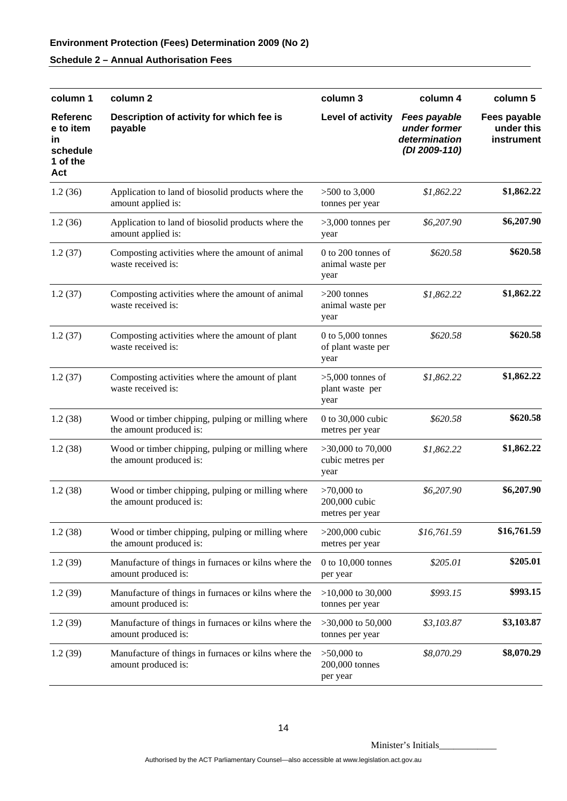| column 1                                                           | column <sub>2</sub>                                                          | column 3                                          | column 4                                                              | column 5                                 |
|--------------------------------------------------------------------|------------------------------------------------------------------------------|---------------------------------------------------|-----------------------------------------------------------------------|------------------------------------------|
| <b>Referenc</b><br>e to item<br>in.<br>schedule<br>1 of the<br>Act | Description of activity for which fee is<br>payable                          | Level of activity                                 | <b>Fees payable</b><br>under former<br>determination<br>(DI 2009-110) | Fees payable<br>under this<br>instrument |
| 1.2(36)                                                            | Application to land of biosolid products where the<br>amount applied is:     | $>500$ to 3,000<br>tonnes per year                | \$1,862.22                                                            | \$1,862.22                               |
| 1.2(36)                                                            | Application to land of biosolid products where the<br>amount applied is:     | $>3,000$ tonnes per<br>year                       | \$6,207.90                                                            | \$6,207.90                               |
| 1.2(37)                                                            | Composting activities where the amount of animal<br>waste received is:       | $0$ to 200 tonnes of<br>animal waste per<br>year  | \$620.58                                                              | \$620.58                                 |
| 1.2(37)                                                            | Composting activities where the amount of animal<br>waste received is:       | $>200$ tonnes<br>animal waste per<br>year         | \$1,862.22                                                            | \$1,862.22                               |
| 1.2(37)                                                            | Composting activities where the amount of plant<br>waste received is:        | $0$ to 5,000 tonnes<br>of plant waste per<br>year | \$620.58                                                              | \$620.58                                 |
| 1.2(37)                                                            | Composting activities where the amount of plant<br>waste received is:        | $>5,000$ tonnes of<br>plant waste per<br>year     | \$1,862.22                                                            | \$1,862.22                               |
| 1.2(38)                                                            | Wood or timber chipping, pulping or milling where<br>the amount produced is: | 0 to 30,000 cubic<br>metres per year              | \$620.58                                                              | \$620.58                                 |
| 1.2(38)                                                            | Wood or timber chipping, pulping or milling where<br>the amount produced is: | $>30,000$ to 70,000<br>cubic metres per<br>year   | \$1,862.22                                                            | \$1,862.22                               |
| 1.2(38)                                                            | Wood or timber chipping, pulping or milling where<br>the amount produced is: | $>70,000$ to<br>200,000 cubic<br>metres per year  | \$6,207.90                                                            | \$6,207.90                               |
| 1.2(38)                                                            | Wood or timber chipping, pulping or milling where<br>the amount produced is: | $>200,000$ cubic<br>metres per year               | \$16,761.59                                                           | \$16,761.59                              |
| 1.2(39)                                                            | Manufacture of things in furnaces or kilns where the<br>amount produced is:  | $0$ to $10,000$ tonnes<br>per year                | \$205.01                                                              | \$205.01                                 |
| 1.2(39)                                                            | Manufacture of things in furnaces or kilns where the<br>amount produced is:  | $>10,000$ to 30,000<br>tonnes per year            | \$993.15                                                              | \$993.15                                 |
| 1.2(39)                                                            | Manufacture of things in furnaces or kilns where the<br>amount produced is:  | $>30,000$ to 50,000<br>tonnes per year            | \$3,103.87                                                            | \$3,103.87                               |
| 1.2(39)                                                            | Manufacture of things in furnaces or kilns where the<br>amount produced is:  | $>50,000$ to<br>200,000 tonnes<br>per year        | \$8,070.29                                                            | \$8,070.29                               |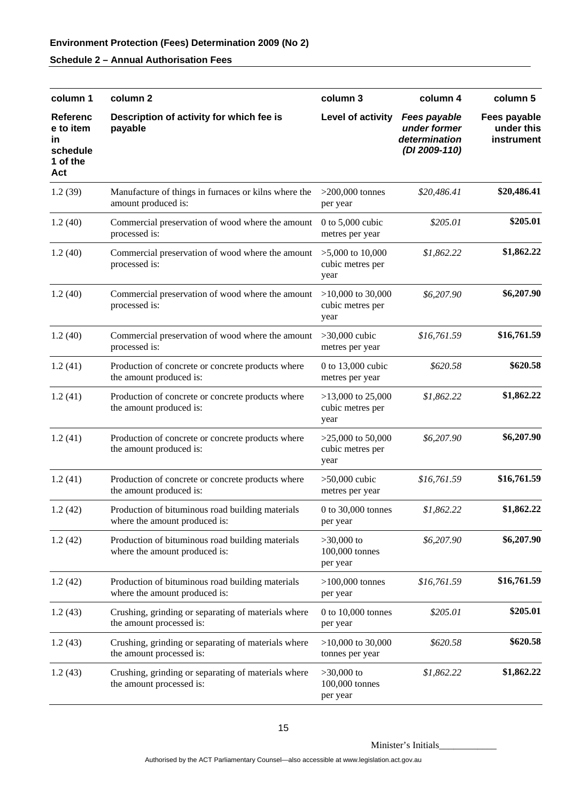| column 1                                                          | column <sub>2</sub>                                                               | column 3                                        | column 4                                                              | column 5                                 |
|-------------------------------------------------------------------|-----------------------------------------------------------------------------------|-------------------------------------------------|-----------------------------------------------------------------------|------------------------------------------|
| <b>Referenc</b><br>e to item<br>in<br>schedule<br>1 of the<br>Act | Description of activity for which fee is<br>payable                               | Level of activity                               | <b>Fees payable</b><br>under former<br>determination<br>(DI 2009-110) | Fees payable<br>under this<br>instrument |
| 1.2(39)                                                           | Manufacture of things in furnaces or kilns where the<br>amount produced is:       | $>200,000$ tonnes<br>per year                   | \$20,486.41                                                           | \$20,486.41                              |
| 1.2(40)                                                           | Commercial preservation of wood where the amount<br>processed is:                 | 0 to $5,000$ cubic<br>metres per year           | \$205.01                                                              | \$205.01                                 |
| 1.2(40)                                                           | Commercial preservation of wood where the amount<br>processed is:                 | $>5,000$ to 10,000<br>cubic metres per<br>year  | \$1,862.22                                                            | \$1,862.22                               |
| 1.2(40)                                                           | Commercial preservation of wood where the amount<br>processed is:                 | $>10,000$ to 30,000<br>cubic metres per<br>year | \$6,207.90                                                            | \$6,207.90                               |
| 1.2(40)                                                           | Commercial preservation of wood where the amount<br>processed is:                 | $>30,000$ cubic<br>metres per year              | \$16,761.59                                                           | \$16,761.59                              |
| 1.2(41)                                                           | Production of concrete or concrete products where<br>the amount produced is:      | 0 to $13,000$ cubic<br>metres per year          | \$620.58                                                              | \$620.58                                 |
| 1.2(41)                                                           | Production of concrete or concrete products where<br>the amount produced is:      | $>13,000$ to 25,000<br>cubic metres per<br>year | \$1,862.22                                                            | \$1,862.22                               |
| 1.2(41)                                                           | Production of concrete or concrete products where<br>the amount produced is:      | $>25,000$ to 50,000<br>cubic metres per<br>year | \$6,207.90                                                            | \$6,207.90                               |
| 1.2(41)                                                           | Production of concrete or concrete products where<br>the amount produced is:      | $>50,000$ cubic<br>metres per year              | \$16,761.59                                                           | \$16,761.59                              |
| 1.2(42)                                                           | Production of bituminous road building materials<br>where the amount produced is: | 0 to 30,000 tonnes<br>per year                  | \$1,862.22                                                            | \$1,862.22                               |
| 1.2(42)                                                           | Production of bituminous road building materials<br>where the amount produced is: | $>30,000$ to<br>100,000 tonnes<br>per year      | \$6,207.90                                                            | \$6,207.90                               |
| 1.2(42)                                                           | Production of bituminous road building materials<br>where the amount produced is: | $>100,000$ tonnes<br>per year                   | \$16,761.59                                                           | \$16,761.59                              |
| 1.2(43)                                                           | Crushing, grinding or separating of materials where<br>the amount processed is:   | 0 to 10,000 tonnes<br>per year                  | \$205.01                                                              | \$205.01                                 |
| 1.2(43)                                                           | Crushing, grinding or separating of materials where<br>the amount processed is:   | $>10,000$ to 30,000<br>tonnes per year          | \$620.58                                                              | \$620.58                                 |
| 1.2(43)                                                           | Crushing, grinding or separating of materials where<br>the amount processed is:   | $>30,000$ to<br>100,000 tonnes<br>per year      | \$1,862.22                                                            | \$1,862.22                               |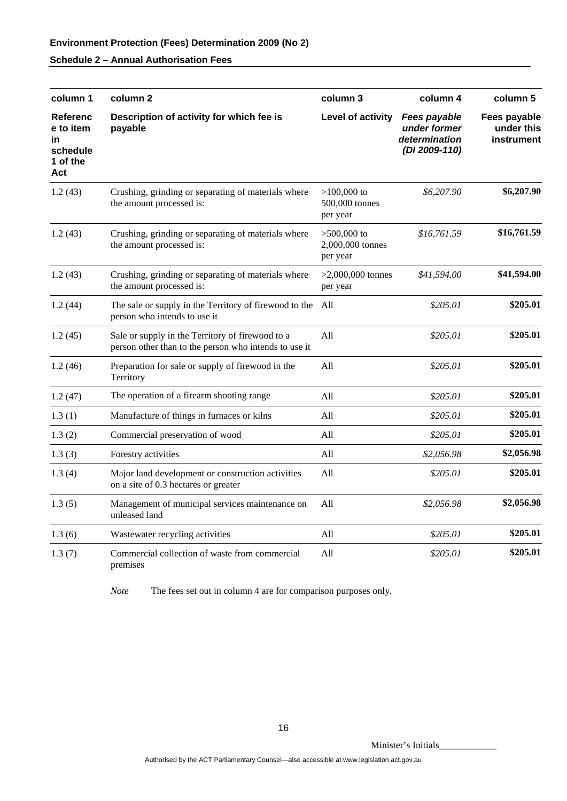| column 1                                                   | column <sub>2</sub>                                                                                       | column 3                                      | column 4                                                              | column 5                                 |
|------------------------------------------------------------|-----------------------------------------------------------------------------------------------------------|-----------------------------------------------|-----------------------------------------------------------------------|------------------------------------------|
| Referenc<br>e to item<br>in<br>schedule<br>1 of the<br>Act | Description of activity for which fee is<br>payable                                                       | Level of activity                             | <b>Fees payable</b><br>under former<br>determination<br>(DI 2009-110) | Fees payable<br>under this<br>instrument |
| 1.2(43)                                                    | Crushing, grinding or separating of materials where<br>the amount processed is:                           | $>100,000$ to<br>500,000 tonnes<br>per year   | \$6,207.90                                                            | \$6,207.90                               |
| 1.2(43)                                                    | Crushing, grinding or separating of materials where<br>the amount processed is:                           | $>500,000$ to<br>2,000,000 tonnes<br>per year | \$16,761.59                                                           | \$16,761.59                              |
| 1.2(43)                                                    | Crushing, grinding or separating of materials where<br>the amount processed is:                           | $>2,000,000$ tonnes<br>per year               | \$41,594.00                                                           | \$41,594.00                              |
| 1.2(44)                                                    | The sale or supply in the Territory of firewood to the All<br>person who intends to use it                |                                               | \$205.01                                                              | \$205.01                                 |
| 1.2(45)                                                    | Sale or supply in the Territory of firewood to a<br>person other than to the person who intends to use it | All                                           | \$205.01                                                              | \$205.01                                 |
| 1.2(46)                                                    | Preparation for sale or supply of firewood in the<br>Territory                                            | All                                           | \$205.01                                                              | \$205.01                                 |
| 1.2(47)                                                    | The operation of a firearm shooting range                                                                 | All                                           | \$205.01                                                              | \$205.01                                 |
| 1.3(1)                                                     | Manufacture of things in furnaces or kilns                                                                | All                                           | \$205.01                                                              | \$205.01                                 |
| 1.3(2)                                                     | Commercial preservation of wood                                                                           | All                                           | \$205.01                                                              | \$205.01                                 |
| 1.3(3)                                                     | Forestry activities                                                                                       | All                                           | \$2,056.98                                                            | \$2,056.98                               |
| 1.3(4)                                                     | Major land development or construction activities<br>on a site of 0.3 hectares or greater                 | All                                           | \$205.01                                                              | \$205.01                                 |
| 1.3(5)                                                     | Management of municipal services maintenance on<br>unleased land                                          | All                                           | \$2,056.98                                                            | \$2,056.98                               |
| 1.3(6)                                                     | Wastewater recycling activities                                                                           | All                                           | \$205.01                                                              | \$205.01                                 |
| 1.3(7)                                                     | Commercial collection of waste from commercial<br>premises                                                | All                                           | \$205.01                                                              | \$205.01                                 |

*Note* The fees set out in column 4 are for comparison purposes only.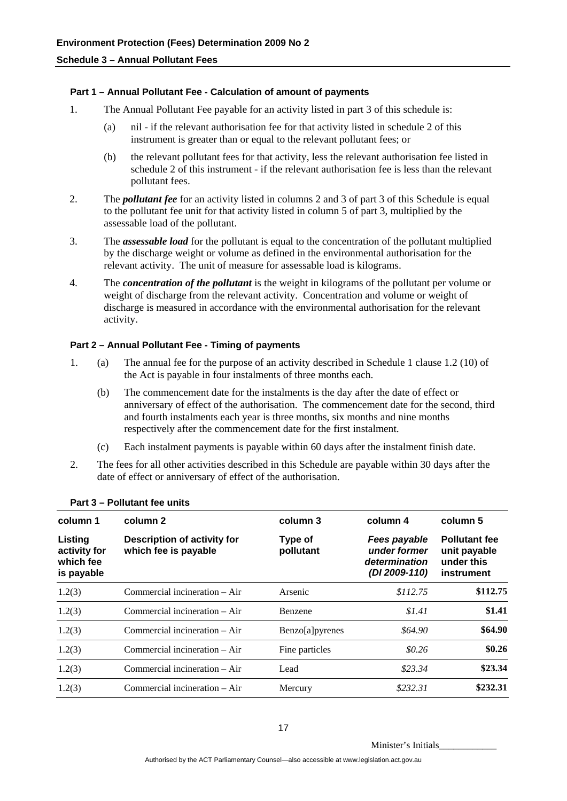#### **Part 1 – Annual Pollutant Fee - Calculation of amount of payments**

- 1. The Annual Pollutant Fee payable for an activity listed in part 3 of this schedule is:
	- (a) nil if the relevant authorisation fee for that activity listed in schedule 2 of this instrument is greater than or equal to the relevant pollutant fees; or
	- (b) the relevant pollutant fees for that activity, less the relevant authorisation fee listed in schedule 2 of this instrument - if the relevant authorisation fee is less than the relevant pollutant fees.
- 2. The *pollutant fee* for an activity listed in columns 2 and 3 of part 3 of this Schedule is equal to the pollutant fee unit for that activity listed in column 5 of part 3, multiplied by the assessable load of the pollutant.
- 3. The *assessable load* for the pollutant is equal to the concentration of the pollutant multiplied by the discharge weight or volume as defined in the environmental authorisation for the relevant activity. The unit of measure for assessable load is kilograms.
- 4. The *concentration of the pollutant* is the weight in kilograms of the pollutant per volume or weight of discharge from the relevant activity. Concentration and volume or weight of discharge is measured in accordance with the environmental authorisation for the relevant activity.

#### **Part 2 – Annual Pollutant Fee - Timing of payments**

- 1. (a) The annual fee for the purpose of an activity described in Schedule 1 clause 1.2 (10) of the Act is payable in four instalments of three months each.
	- (b) The commencement date for the instalments is the day after the date of effect or anniversary of effect of the authorisation. The commencement date for the second, third and fourth instalments each year is three months, six months and nine months respectively after the commencement date for the first instalment.
	- (c) Each instalment payments is payable within 60 days after the instalment finish date.
- 2. The fees for all other activities described in this Schedule are payable within 30 days after the date of effect or anniversary of effect of the authorisation.

| column 1                                           | column 2                                            | column 3             | column 4                                                       | column 5                                                         |
|----------------------------------------------------|-----------------------------------------------------|----------------------|----------------------------------------------------------------|------------------------------------------------------------------|
| Listing<br>activity for<br>which fee<br>is payable | Description of activity for<br>which fee is payable | Type of<br>pollutant | Fees payable<br>under former<br>determination<br>(DI 2009-110) | <b>Pollutant fee</b><br>unit payable<br>under this<br>instrument |
| 1.2(3)                                             | Commercial incineration $-$ Air                     | Arsenic              | \$112.75                                                       | \$112.75                                                         |
| 1.2(3)                                             | Commercial incineration $-$ Air                     | Benzene              | \$1.41                                                         | \$1.41                                                           |
| 1.2(3)                                             | Commercial incineration $-$ Air                     | Benzo[a]pyrenes      | \$64.90                                                        | \$64.90                                                          |
| 1.2(3)                                             | Commercial incineration $-$ Air                     | Fine particles       | \$0.26                                                         | \$0.26                                                           |
| 1.2(3)                                             | Commercial incineration – Air                       | Lead                 | \$23.34                                                        | \$23.34                                                          |
| 1.2(3)                                             | Commercial incineration - Air                       | Mercury              | \$232.31                                                       | \$232.31                                                         |

#### **Part 3 – Pollutant fee units**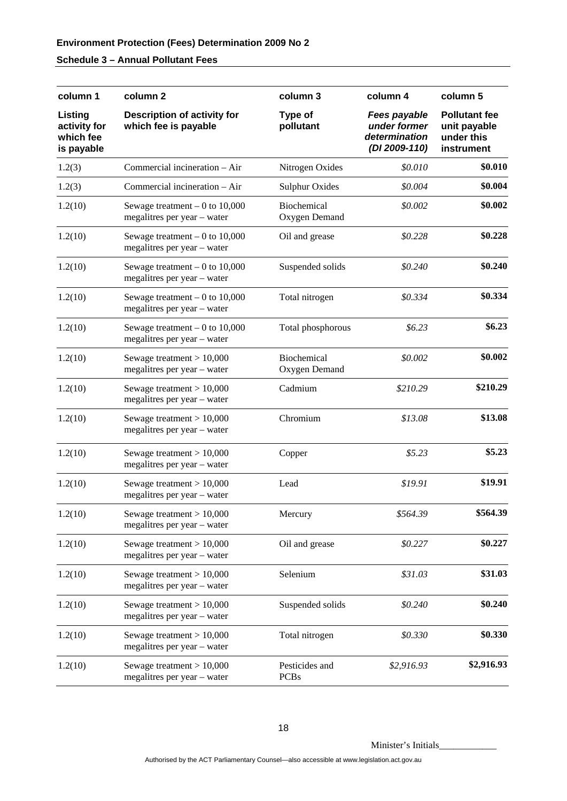## **Schedule 3 – Annual Pollutant Fees**

| column 1                                           | column <sub>2</sub>                                            | column 3                      | column 4                                                              | column 5                                                         |
|----------------------------------------------------|----------------------------------------------------------------|-------------------------------|-----------------------------------------------------------------------|------------------------------------------------------------------|
| Listing<br>activity for<br>which fee<br>is payable | Description of activity for<br>which fee is payable            | Type of<br>pollutant          | <b>Fees payable</b><br>under former<br>determination<br>(DI 2009-110) | <b>Pollutant fee</b><br>unit payable<br>under this<br>instrument |
| 1.2(3)                                             | Commercial incineration – Air                                  | Nitrogen Oxides               | \$0.010                                                               | \$0.010                                                          |
| 1.2(3)                                             | Commercial incineration - Air                                  | <b>Sulphur Oxides</b>         | \$0.004                                                               | \$0.004                                                          |
| 1.2(10)                                            | Sewage treatment $-0$ to 10,000<br>megalitres per year - water | Biochemical<br>Oxygen Demand  | \$0.002                                                               | \$0.002                                                          |
| 1.2(10)                                            | Sewage treatment $-0$ to 10,000<br>megalitres per year - water | Oil and grease                | \$0.228                                                               | \$0.228                                                          |
| 1.2(10)                                            | Sewage treatment $-0$ to 10,000<br>megalitres per year - water | Suspended solids              | \$0.240                                                               | \$0.240                                                          |
| 1.2(10)                                            | Sewage treatment $-0$ to 10,000<br>megalitres per year - water | Total nitrogen                | \$0.334                                                               | \$0.334                                                          |
| 1.2(10)                                            | Sewage treatment $-0$ to 10,000<br>megalitres per year - water | Total phosphorous             | \$6.23\$                                                              | \$6.23                                                           |
| 1.2(10)                                            | Sewage treatment $> 10,000$<br>megalitres per year - water     | Biochemical<br>Oxygen Demand  | \$0.002                                                               | \$0.002                                                          |
| 1.2(10)                                            | Sewage treatment $> 10,000$<br>megalitres per year - water     | Cadmium                       | \$210.29                                                              | \$210.29                                                         |
| 1.2(10)                                            | Sewage treatment $> 10,000$<br>megalitres per year - water     | Chromium                      | \$13.08                                                               | \$13.08                                                          |
| 1.2(10)                                            | Sewage treatment $> 10,000$<br>megalitres per year - water     | Copper                        | \$5.23                                                                | \$5.23                                                           |
| 1.2(10)                                            | Sewage treatment $> 10,000$<br>megalitres per year - water     | Lead                          | \$19.91                                                               | \$19.91                                                          |
| 1.2(10)                                            | Sewage treatment $> 10,000$<br>megalitres per year - water     | Mercury                       | \$564.39                                                              | \$564.39                                                         |
| 1.2(10)                                            | Sewage treatment $> 10,000$<br>megalitres per year - water     | Oil and grease                | \$0.227                                                               | \$0.227                                                          |
| 1.2(10)                                            | Sewage treatment $> 10,000$<br>megalitres per year - water     | Selenium                      | \$31.03                                                               | \$31.03                                                          |
| 1.2(10)                                            | Sewage treatment $> 10,000$<br>megalitres per year - water     | Suspended solids              | \$0.240                                                               | \$0.240                                                          |
| 1.2(10)                                            | Sewage treatment $> 10,000$<br>megalitres per year - water     | Total nitrogen                | \$0.330                                                               | \$0.330                                                          |
| 1.2(10)                                            | Sewage treatment $> 10,000$<br>megalitres per year - water     | Pesticides and<br><b>PCBs</b> | \$2,916.93                                                            | \$2,916.93                                                       |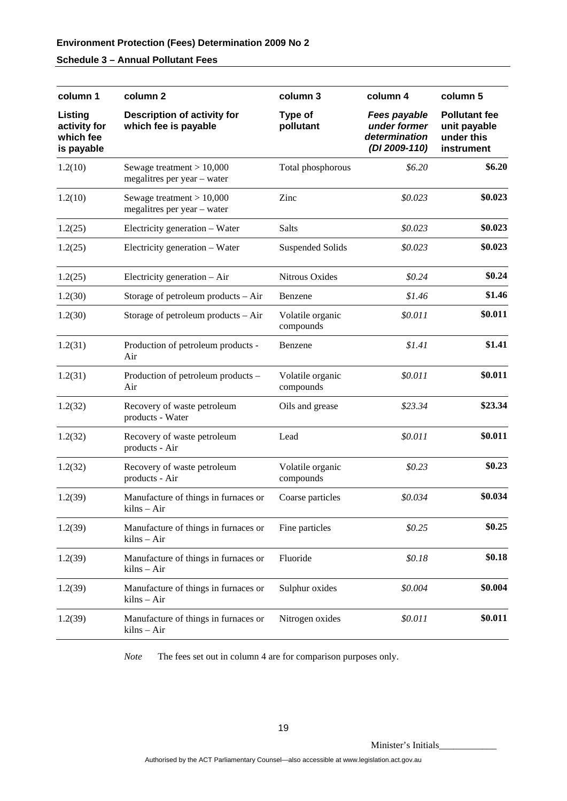## **Schedule 3 – Annual Pollutant Fees**

| column 1                                           | column <sub>2</sub>                                        | column 3                      | column 4                                                              | column 5                                                         |
|----------------------------------------------------|------------------------------------------------------------|-------------------------------|-----------------------------------------------------------------------|------------------------------------------------------------------|
| Listing<br>activity for<br>which fee<br>is payable | <b>Description of activity for</b><br>which fee is payable | Type of<br>pollutant          | <b>Fees payable</b><br>under former<br>determination<br>(DI 2009-110) | <b>Pollutant fee</b><br>unit payable<br>under this<br>instrument |
| 1.2(10)                                            | Sewage treatment $> 10,000$<br>megalitres per year – water | Total phosphorous             | \$6.20                                                                | \$6.20                                                           |
| 1.2(10)                                            | Sewage treatment $> 10,000$<br>megalitres per year - water | Zinc                          | \$0.023                                                               | \$0.023                                                          |
| 1.2(25)                                            | Electricity generation – Water                             | Salts                         | \$0.023                                                               | \$0.023                                                          |
| 1.2(25)                                            | Electricity generation - Water                             | <b>Suspended Solids</b>       | \$0.023                                                               | \$0.023                                                          |
| 1.2(25)                                            | Electricity generation $-$ Air                             | Nitrous Oxides                | \$0.24                                                                | \$0.24                                                           |
| 1.2(30)                                            | Storage of petroleum products – Air                        | Benzene                       | \$1.46                                                                | \$1.46                                                           |
| 1.2(30)                                            | Storage of petroleum products – Air                        | Volatile organic<br>compounds | \$0.011                                                               | \$0.011                                                          |
| 1.2(31)                                            | Production of petroleum products -<br>Air                  | Benzene                       | \$1.41                                                                | \$1.41                                                           |
| 1.2(31)                                            | Production of petroleum products -<br>Air                  | Volatile organic<br>compounds | \$0.011                                                               | \$0.011                                                          |
| 1.2(32)                                            | Recovery of waste petroleum<br>products - Water            | Oils and grease               | \$23.34                                                               | \$23.34                                                          |
| 1.2(32)                                            | Recovery of waste petroleum<br>products - Air              | Lead                          | \$0.011                                                               | \$0.011                                                          |
| 1.2(32)                                            | Recovery of waste petroleum<br>products - Air              | Volatile organic<br>compounds | \$0.23                                                                | \$0.23                                                           |
| 1.2(39)                                            | Manufacture of things in furnaces or<br>kilns – Air        | Coarse particles              | \$0.034                                                               | \$0.034                                                          |
| 1.2(39)                                            | Manufacture of things in furnaces or<br>kilns – Air        | Fine particles                | \$0.25                                                                | \$0.25                                                           |
| 1.2(39)                                            | Manufacture of things in furnaces or<br>kilns - Air        | Fluoride                      | \$0.18                                                                | \$0.18                                                           |
| 1.2(39)                                            | Manufacture of things in furnaces or<br>kilns – Air        | Sulphur oxides                | \$0.004                                                               | \$0.004                                                          |
| 1.2(39)                                            | Manufacture of things in furnaces or<br>kilns - Air        | Nitrogen oxides               | \$0.011                                                               | \$0.011                                                          |

*Note* The fees set out in column 4 are for comparison purposes only.